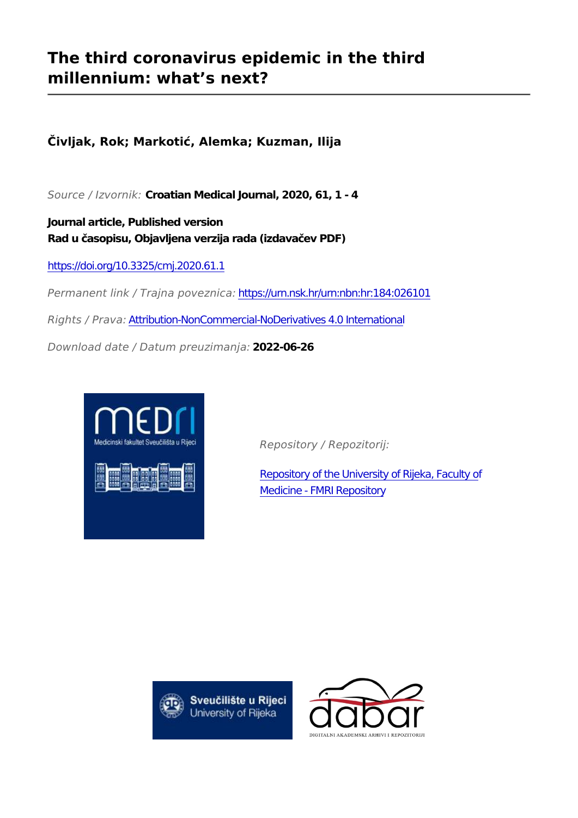## **The third coronavirus epidemic in the third millennium: what's next?**

**Čivljak, Rok; Markotić, Alemka; Kuzman, Ilija**

*Source / Izvornik:* **Croatian Medical Journal, 2020, 61, 1 - 4**

**Journal article, Published version Rad u časopisu, Objavljena verzija rada (izdavačev PDF)**

<https://doi.org/10.3325/cmj.2020.61.1>

*Permanent link / Trajna poveznica:* <https://urn.nsk.hr/urn:nbn:hr:184:026101>

*Rights / Prava:* [Attribution-NonCommercial-NoDerivatives 4.0 International](http://creativecommons.org/licenses/by-nc-nd/4.0/)

*Download date / Datum preuzimanja:* **2022-06-26**



*Repository / Repozitorij:*

[Repository of the University of Rijeka, Faculty of](https://repository.medri.uniri.hr) [Medicine - FMRI Repository](https://repository.medri.uniri.hr)



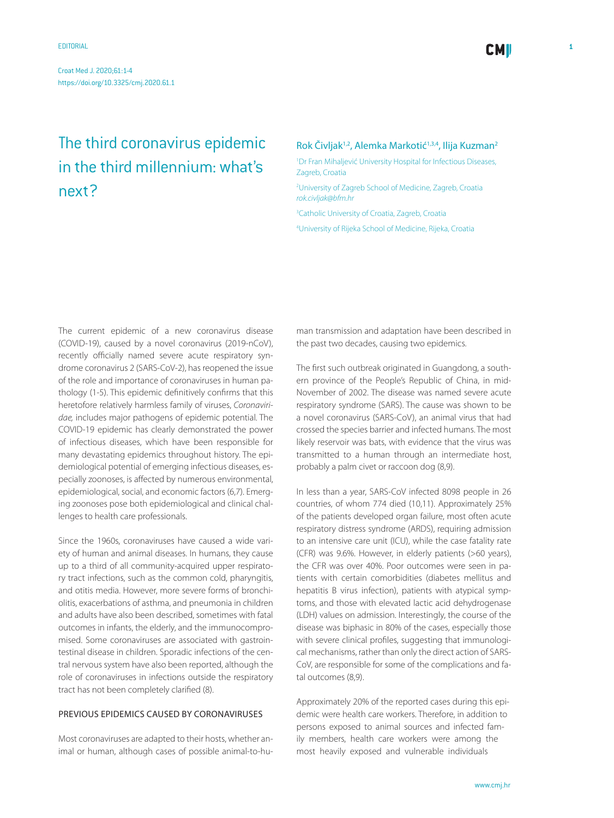# The third coronavirus epidemic in the third millennium: what's next?

### Rok Čivljak<sup>1,2</sup>, Alemka Markotić<sup>1,3,4</sup>, Ilija Kuzman<sup>2</sup>

1 Dr Fran Mihaljević University Hospital for Infectious Diseases, Zagreb, Croatia

2 University of Zagreb School of Medicine, Zagreb, Croatia *[rok.civljak@bfm.hr](mailto: rok.civljak@bfm.hr )*

3 Catholic University of Croatia, Zagreb, Croatia

4 University of Rijeka School of Medicine, Rijeka, Croatia

The current epidemic of a new coronavirus disease (COVID-19), caused by a novel coronavirus (2019-nCoV), recently officially named severe acute respiratory syndrome coronavirus 2 (SARS-CoV-2), has reopened the issue of the role and importance of coronaviruses in human pathology (1-5). This epidemic definitively confirms that this heretofore relatively harmless family of viruses, *Coronaviridae,* includes major pathogens of epidemic potential. The COVID-19 epidemic has clearly demonstrated the power of infectious diseases, which have been responsible for many devastating epidemics throughout history. The epidemiological potential of emerging infectious diseases, especially zoonoses, is affected by numerous environmental, epidemiological, social, and economic factors (6,7). Emerging zoonoses pose both epidemiological and clinical challenges to health care professionals.

Since the 1960s, coronaviruses have caused a wide variety of human and animal diseases. In humans, they cause up to a third of all community-acquired upper respiratory tract infections, such as the common cold, pharyngitis, and otitis media. However, more severe forms of bronchiolitis, exacerbations of asthma, and pneumonia in children and adults have also been described, sometimes with fatal outcomes in infants, the elderly, and the immunocompromised. Some coronaviruses are associated with gastrointestinal disease in children. Sporadic infections of the central nervous system have also been reported, although the role of coronaviruses in infections outside the respiratory tract has not been completely clarified (8).

### Previous epidemics caused by coronaviruses

Most coronaviruses are adapted to their hosts, whether animal or human, although cases of possible animal-to-human transmission and adaptation have been described in the past two decades, causing two epidemics.

The first such outbreak originated in Guangdong, a southern province of the People's Republic of China, in mid-November of 2002. The disease was named severe acute respiratory syndrome (SARS). The cause was shown to be a novel coronavirus (SARS-CoV), an animal virus that had crossed the species barrier and infected humans. The most likely reservoir was bats, with evidence that the virus was transmitted to a human through an intermediate host, probably a palm civet or raccoon dog (8,9).

In less than a year, SARS-CoV infected 8098 people in 26 countries, of whom 774 died (10,11). Approximately 25% of the patients developed organ failure, most often acute respiratory distress syndrome (ARDS), requiring admission to an intensive care unit (ICU), while the case fatality rate (CFR) was 9.6%. However, in elderly patients (>60 years), the CFR was over 40%. Poor outcomes were seen in patients with certain comorbidities (diabetes mellitus and hepatitis B virus infection), patients with atypical symptoms, and those with elevated lactic acid dehydrogenase (LDH) values on admission. Interestingly, the course of the disease was biphasic in 80% of the cases, especially those with severe clinical profiles, suggesting that immunological mechanisms, rather than only the direct action of SARS-CoV, are responsible for some of the complications and fatal outcomes (8,9).

Approximately 20% of the reported cases during this epidemic were health care workers. Therefore, in addition to persons exposed to animal sources and infected family members, health care workers were among the most heavily exposed and vulnerable individuals

**CMI**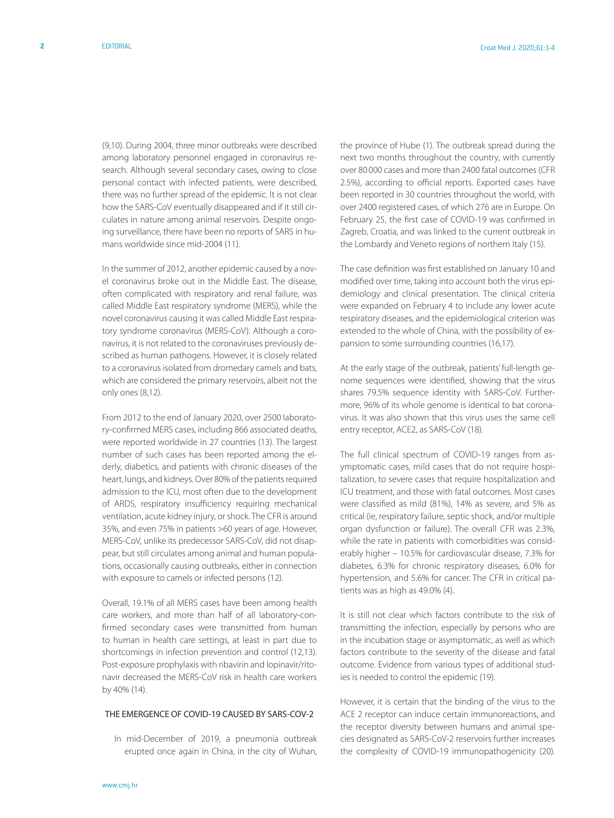(9,10). During 2004, three minor outbreaks were described among laboratory personnel engaged in coronavirus research. Although several secondary cases, owing to close personal contact with infected patients, were described, there was no further spread of the epidemic. It is not clear how the SARS-CoV eventually disappeared and if it still circulates in nature among animal reservoirs. Despite ongoing surveillance, there have been no reports of SARS in humans worldwide since mid-2004 (11).

In the summer of 2012, another epidemic caused by a novel coronavirus broke out in the Middle East. The disease, often complicated with respiratory and renal failure, was called Middle East respiratory syndrome (MERS), while the novel coronavirus causing it was called Middle East respiratory syndrome coronavirus (MERS-CoV). Although a coronavirus, it is not related to the coronaviruses previously described as human pathogens. However, it is closely related to a coronavirus isolated from dromedary camels and bats, which are considered the primary reservoirs, albeit not the only ones (8,12).

From 2012 to the end of January 2020, over 2500 laboratory-confirmed MERS cases, including 866 associated deaths, were reported worldwide in 27 countries (13). The largest number of such cases has been reported among the elderly, diabetics, and patients with chronic diseases of the heart, lungs, and kidneys. Over 80% of the patients required admission to the ICU, most often due to the development of ARDS, respiratory insufficiency requiring mechanical ventilation, acute kidney injury, or shock. The CFR is around 35%, and even 75% in patients >60 years of age. However, MERS-CoV, unlike its predecessor SARS-CoV, did not disappear, but still circulates among animal and human populations, occasionally causing outbreaks, either in connection with exposure to camels or infected persons (12).

Overall, 19.1% of all MERS cases have been among health care workers, and more than half of all laboratory-confirmed secondary cases were transmitted from human to human in health care settings, at least in part due to shortcomings in infection prevention and control (12,13). Post-exposure prophylaxis with ribavirin and lopinavir/ritonavir decreased the MERS-CoV risk in health care workers by 40% (14).

#### THE EMERGENCE OF COVID-19 CAUSED BY SARS-COV-2

In mid-December of 2019, a pneumonia outbreak erupted once again in China, in the city of Wuhan,

the province of Hube (1). The outbreak spread during the next two months throughout the country, with currently over 80 000 cases and more than 2400 fatal outcomes (CFR 2.5%), according to official reports. Exported cases have been reported in 30 countries throughout the world, with over 2400 registered cases, of which 276 are in Europe. On February 25, the first case of COVID-19 was confirmed in Zagreb, Croatia, and was linked to the current outbreak in the Lombardy and Veneto regions of northern Italy (15).

The case definition was first established on January 10 and modified over time, taking into account both the virus epidemiology and clinical presentation. The clinical criteria were expanded on February 4 to include any lower acute respiratory diseases, and the epidemiological criterion was extended to the whole of China, with the possibility of expansion to some surrounding countries (16,17).

At the early stage of the outbreak, patients' full-length genome sequences were identified, showing that the virus shares 79.5% sequence identity with SARS-CoV. Furthermore, 96% of its whole genome is identical to bat coronavirus. It was also shown that this virus uses the same cell entry receptor, ACE2, as SARS-CoV (18).

The full clinical spectrum of COVID-19 ranges from asymptomatic cases, mild cases that do not require hospitalization, to severe cases that require hospitalization and ICU treatment, and those with fatal outcomes. Most cases were classified as mild (81%), 14% as severe, and 5% as critical (ie, respiratory failure, septic shock, and/or multiple organ dysfunction or failure). The overall CFR was 2.3%, while the rate in patients with comorbidities was considerably higher – 10.5% for cardiovascular disease, 7.3% for diabetes, 6.3% for chronic respiratory diseases, 6.0% for hypertension, and 5.6% for cancer. The CFR in critical patients was as high as 49.0% (4).

It is still not clear which factors contribute to the risk of transmitting the infection, especially by persons who are in the incubation stage or asymptomatic, as well as which factors contribute to the severity of the disease and fatal outcome. Evidence from various types of additional studies is needed to control the epidemic (19).

However, it is certain that the binding of the virus to the ACE 2 receptor can induce certain immunoreactions, and the receptor diversity between humans and animal species designated as SARS-CoV-2 reservoirs further increases the complexity of COVID-19 immunopathogenicity (20).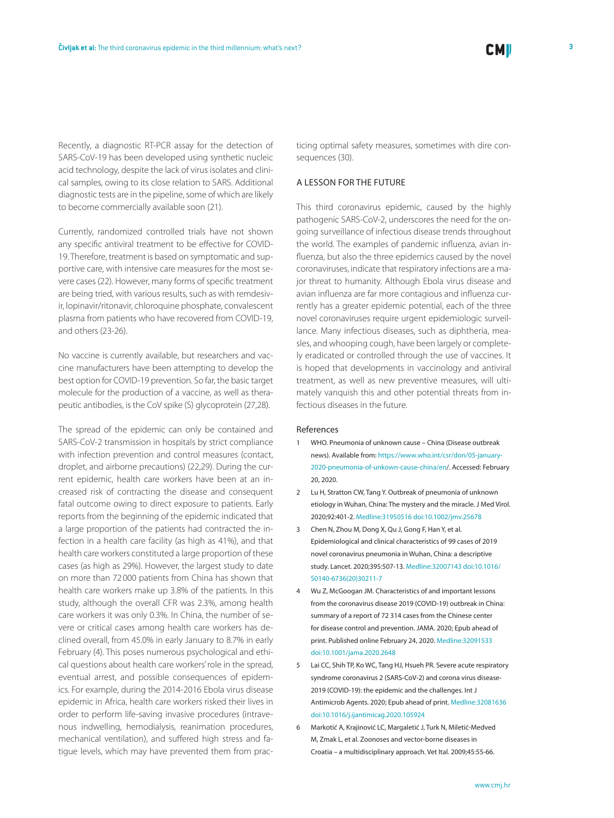Recently, a diagnostic RT-PCR assay for the detection of SARS-CoV-19 has been developed using synthetic nucleic acid technology, despite the lack of virus isolates and clinical samples, owing to its close relation to SARS. Additional diagnostic tests are in the pipeline, some of which are likely to become commercially available soon (21).

Currently, randomized controlled trials have not shown any specific antiviral treatment to be effective for COVID-19. Therefore, treatment is based on symptomatic and supportive care, with intensive care measures for the most severe cases (22). However, many forms of specific treatment are being tried, with various results, such as with remdesivir, lopinavir/ritonavir, chloroquine phosphate, convalescent plasma from patients who have recovered from COVID-19, and others (23-26).

No vaccine is currently available, but researchers and vaccine manufacturers have been attempting to develop the best option for COVID-19 prevention. So far, the basic target molecule for the production of a vaccine, as well as therapeutic antibodies, is the CoV spike (S) glycoprotein (27,28).

The spread of the epidemic can only be contained and SARS-CoV-2 transmission in hospitals by strict compliance with infection prevention and control measures (contact, droplet, and airborne precautions) (22,29). During the current epidemic, health care workers have been at an increased risk of contracting the disease and consequent fatal outcome owing to direct exposure to patients. Early reports from the beginning of the epidemic indicated that a large proportion of the patients had contracted the infection in a health care facility (as high as 41%), and that health care workers constituted a large proportion of these cases (as high as 29%). However, the largest study to date on more than 72 000 patients from China has shown that health care workers make up 3.8% of the patients. In this study, although the overall CFR was 2.3%, among health care workers it was only 0.3%. In China, the number of severe or critical cases among health care workers has declined overall, from 45.0% in early January to 8.7% in early February (4). This poses numerous psychological and ethical questions about health care workers' role in the spread, eventual arrest, and possible consequences of epidemics. For example, during the 2014-2016 Ebola virus disease epidemic in Africa, health care workers risked their lives in order to perform life-saving invasive procedures (intravenous indwelling, hemodialysis, reanimation procedures, mechanical ventilation), and suffered high stress and fatigue levels, which may have prevented them from practicing optimal safety measures, sometimes with dire consequences (30).

#### A lesson for the future

This third coronavirus epidemic, caused by the highly pathogenic SARS-CoV-2, underscores the need for the ongoing surveillance of infectious disease trends throughout the world. The examples of pandemic influenza, avian influenza, but also the three epidemics caused by the novel coronaviruses, indicate that respiratory infections are a major threat to humanity. Although Ebola virus disease and avian influenza are far more contagious and influenza currently has a greater epidemic potential, each of the three novel coronaviruses require urgent epidemiologic surveillance. Many infectious diseases, such as diphtheria, measles, and whooping cough, have been largely or completely eradicated or controlled through the use of vaccines. It is hoped that developments in vaccinology and antiviral treatment, as well as new preventive measures, will ultimately vanquish this and other potential threats from infectious diseases in the future.

#### References

- 1 WHO. Pneumonia of unknown cause China (Disease outbreak news). Available from: [https://www.who.int/csr/don/05-january-](https://www.who.int/csr/don/05-january-2020-pneumonia-of-unkown-cause-china/en/)[2020-pneumonia-of-unkown-cause-china/en/.](https://www.who.int/csr/don/05-january-2020-pneumonia-of-unkown-cause-china/en/) Accessed: February 20, 2020.
- 2 Lu H, Stratton CW, Tang Y. Outbreak of pneumonia of unknown etiology in Wuhan, China: The mystery and the miracle. J Med Virol. 2020;92:401-2[. Medline:31950516](https://www.ncbi.nlm.nih.gov/entrez/query.fcgi?cmd=Retrieve&db=PubMed&list_uids=31950516&dopt=Abstract) [doi:10.1002/jmv.25678](https://doi.org/10.1002/jmv.25678)
- 3 Chen N, Zhou M, Dong X, Qu J, Gong F, Han Y, et al. Epidemiological and clinical characteristics of 99 cases of 2019 novel coronavirus pneumonia in Wuhan, China: a descriptive study. Lancet. 2020;395:507-13. [Medline:32007143](https://www.ncbi.nlm.nih.gov/entrez/query.fcgi?cmd=Retrieve&db=PubMed&list_uids=32007143&dopt=Abstract) [doi:10.1016/](https://doi.org/10.1016/S0140-6736(20)30211-7) [S0140-6736\(20\)30211-7](https://doi.org/10.1016/S0140-6736(20)30211-7)
- 4 Wu Z, McGoogan JM. Characteristics of and important lessons from the coronavirus disease 2019 (COVID-19) outbreak in China: summary of a report of 72 314 cases from the Chinese center for disease control and prevention. JAMA. 2020; Epub ahead of print. Published online February 24, 2020[. Medline:32091533](https://www.ncbi.nlm.nih.gov/entrez/query.fcgi?cmd=Retrieve&db=PubMed&list_uids=32091533&dopt=Abstract) [doi:10.1001/jama.2020.2648](https://doi.org/10.1001/jama.2020.2648)
- 5 Lai CC, Shih TP, Ko WC, Tang HJ, Hsueh PR. Severe acute respiratory syndrome coronavirus 2 (SARS-CoV-2) and corona virus disease-2019 (COVID-19): the epidemic and the challenges. Int J Antimicrob Agents. 2020; Epub ahead of print. [Medline:32081636](https://www.ncbi.nlm.nih.gov/entrez/query.fcgi?cmd=Retrieve&db=PubMed&list_uids=32081636&dopt=Abstract) [doi:10.1016/j.ijantimicag.2020.105924](https://doi.org/10.1016/j.ijantimicag.2020.105924)
- 6 Markotić A, Krajinović LC, Margaletić J, Turk N, Miletić-Medved M, Zmak L, et al. Zoonoses and vector-borne diseases in Croatia – a multidisciplinary approach. Vet Ital. 2009;45:55-66.